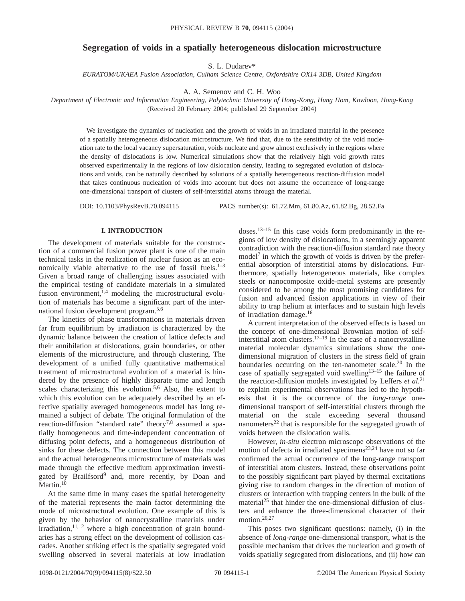# **Segregation of voids in a spatially heterogeneous dislocation microstructure**

S. L. Dudarev\*

*EURATOM/UKAEA Fusion Association, Culham Science Centre, Oxfordshire OX14 3DB, United Kingdom*

A. A. Semenov and C. H. Woo

*Department of Electronic and Information Engineering, Polytechnic University of Hong-Kong, Hung Hom, Kowloon, Hong-Kong* (Received 20 February 2004; published 29 September 2004)

We investigate the dynamics of nucleation and the growth of voids in an irradiated material in the presence of a spatially heterogeneous dislocation microstructure. We find that, due to the sensitivity of the void nucleation rate to the local vacancy supersaturation, voids nucleate and grow almost exclusively in the regions where the density of dislocations is low. Numerical simulations show that the relatively high void growth rates observed experimentally in the regions of low dislocation density, leading to segregated evolution of dislocations and voids, can be naturally described by solutions of a spatially heterogeneous reaction-diffusion model that takes continuous nucleation of voids into account but does not assume the occurrence of long-range one-dimensional transport of clusters of self-interstitial atoms through the material.

DOI: 10.1103/PhysRevB.70.094115 PACS number(s): 61.72.Mm, 61.80.Az, 61.82.Bg, 28.52.Fa

### **I. INTRODUCTION**

The development of materials suitable for the construction of a commercial fusion power plant is one of the main technical tasks in the realization of nuclear fusion as an economically viable alternative to the use of fossil fuels. $1-3$ Given a broad range of challenging issues associated with the empirical testing of candidate materials in a simulated fusion environment,  $^{1,4}$  modeling the microstructural evolution of materials has become a significant part of the international fusion development program.5,6

The kinetics of phase transformations in materials driven far from equilibrium by irradiation is characterized by the dynamic balance between the creation of lattice defects and their annihilation at dislocations, grain boundaries, or other elements of the microstructure, and through clustering. The development of a unified fully quantitative mathematical treatment of microstructural evolution of a material is hindered by the presence of highly disparate time and length scales characterizing this evolution.<sup>5,6</sup> Also, the extent to which this evolution can be adequately described by an effective spatially averaged homogeneous model has long remained a subject of debate. The original formulation of the reaction-diffusion "standard rate" theory<sup>7,8</sup> assumed a spatially homogeneous and time-independent concentration of diffusing point defects, and a homogeneous distribution of sinks for these defects. The connection between this model and the actual heterogeneous microstructure of materials was made through the effective medium approximation investigated by Brailfsord<sup>9</sup> and, more recently, by Doan and Martin.<sup>10</sup>

At the same time in many cases the spatial heterogeneity of the material represents the main factor determining the mode of microstructural evolution. One example of this is given by the behavior of nanocrystalline materials under  $irradiation, <sup>11,12</sup>$  where a high concentration of grain boundaries has a strong effect on the development of collision cascades. Another striking effect is the spatially segregated void swelling observed in several materials at low irradiation doses.13–15 In this case voids form predominantly in the regions of low density of dislocations, in a seemingly apparent contradiction with the reaction-diffusion standard rate theory model<sup>7</sup> in which the growth of voids is driven by the preferential absorption of interstitial atoms by dislocations. Furthermore, spatially heterogeneous materials, like complex steels or nanocomposite oxide-metal systems are presently considered to be among the most promising candidates for fusion and advanced fission applications in view of their ability to trap helium at interfaces and to sustain high levels of irradiation damage.16

A current interpretation of the observed effects is based on the concept of one-dimensional Brownian motion of selfinterstitial atom clusters.<sup>17–19</sup> In the case of a nanocrystalline material molecular dynamics simulations show the onedimensional migration of clusters in the stress field of grain boundaries occurring on the ten-nanometer scale.<sup>20</sup> In the case of spatially segregated void swelling $13-15$  the failure of the reaction-diffusion models investigated by Leffers *et al.*<sup>21</sup> to explain experimental observations has led to the hypothesis that it is the occurrence of the *long-range* onedimensional transport of self-interstitial clusters through the material on the scale exceeding several thousand nanometers<sup>22</sup> that is responsible for the segregated growth of voids between the dislocation walls.

However, *in-situ* electron microscope observations of the motion of defects in irradiated specimens<sup>23,24</sup> have not so far confirmed the actual occurrence of the long-range transport of interstitial atom clusters. Instead, these observations point to the possibly significant part played by thermal excitations giving rise to random changes in the direction of motion of clusters or interaction with trapping centers in the bulk of the material<sup>25</sup> that hinder the one-dimensional diffusion of clusters and enhance the three-dimensional character of their motion. $26,27$ 

This poses two significant questions: namely, (i) in the absence of *long-range* one-dimensional transport, what is the possible mechanism that drives the nucleation and growth of voids spatially segregated from dislocations, and (ii) how can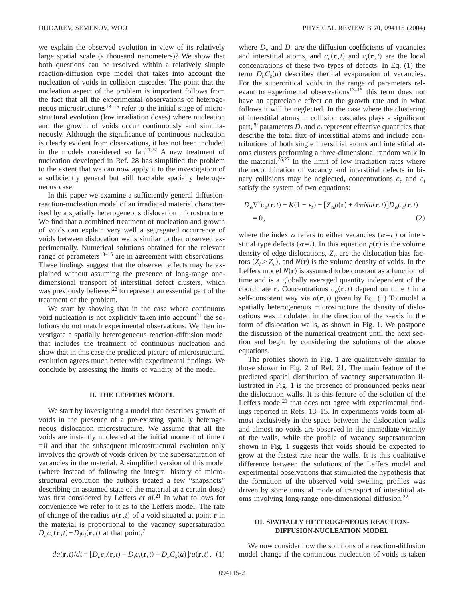we explain the observed evolution in view of its relatively large spatial scale (a thousand nanometers)? We show that both questions can be resolved within a relatively simple reaction-diffusion type model that takes into account the nucleation of voids in collision cascades. The point that the nucleation aspect of the problem is important follows from the fact that all the experimental observations of heterogeneous microstructures<sup>13–15</sup> refer to the initial stage of microstructural evolution (low irradiation doses) where nucleation and the growth of voids occur continuously and simultaneously. Although the significance of continuous nucleation is clearly evident from observations, it has not been included in the models considered so  $far^{21,22}$  A new treatment of nucleation developed in Ref. 28 has simplified the problem to the extent that we can now apply it to the investigation of a sufficiently general but still tractable spatially heterogeneous case.

In this paper we examine a sufficiently general diffusionreaction-nucleation model of an irradiated material characterised by a spatially heterogeneous dislocation microstructure. We find that a combined treatment of nucleation and growth of voids can explain very well a segregated occurrence of voids between dislocation walls similar to that observed experimentally. Numerical solutions obtained for the relevant range of parameters $13-15$  are in agreement with observations. These findings suggest that the observed effects may be explained without assuming the presence of long-range onedimensional transport of interstitial defect clusters, which was previously believed<sup>22</sup> to represent an essential part of the treatment of the problem.

We start by showing that in the case where continuous void nucleation is not explicitly taken into account<sup>21</sup> the solutions do not match experimental observations. We then investigate a spatially heterogeneous reaction-diffusion model that includes the treatment of continuous nucleation and show that in this case the predicted picture of microstructural evolution agrees much better with experimental findings. We conclude by assessing the limits of validity of the model.

#### **II. THE LEFFERS MODEL**

We start by investigating a model that describes growth of voids in the presence of a pre-existing spatially heterogeneous dislocation microstructure. We assume that all the voids are instantly nucleated at the initial moment of time *t*  $=0$  and that the subsequent microstructural evolution only involves the *growth* of voids driven by the supersaturation of vacancies in the material. A simplified version of this model (where instead of following the integral history of microstructural evolution the authors treated a few "snapshots" describing an assumed state of the material at a certain dose) was first considered by Leffers *et al.*<sup>21</sup> In what follows for convenience we refer to it as to the Leffers model. The rate of change of the radius  $a(\mathbf{r},t)$  of a void situated at point **r** in the material is proportional to the vacancy supersaturation  $D_v c_v(\mathbf{r}, t) - D_i c_i(\mathbf{r}, t)$  at that point,<sup>7</sup>

$$
\begin{array}{c}\n\cdot & \cdot & \cdot \\
\hline\n\cdot & \cdot & \cdot \\
\hline\n\cdot & \cdot & \cdot \\
\hline\n\end{array}
$$

of interstitial atoms in collision cascades plays a significant part,<sup>29</sup> parameters  $D_i$  and  $c_i$  represent effective quantities that describe the total flux of interstitial atoms and include contributions of both single interstitial atoms and interstitial atoms clusters performing a three-dimensional random walk in the material. $26,27$  In the limit of low irradiation rates where the recombination of vacancy and interstitial defects in binary collisions may be neglected, concentrations  $c_v$  and  $c_i$ satisfy the system of two equations:

where  $D<sub>v</sub>$  and  $D<sub>i</sub>$  are the diffusion coefficients of vacancies and interstitial atoms, and  $c_v(\mathbf{r},t)$  and  $c_i(\mathbf{r},t)$  are the local concentrations of these two types of defects. In Eq. (1) the term  $D_vC_s(a)$  describes thermal evaporation of vacancies. For the supercritical voids in the range of parameters relevant to experimental observations<sup>13–15</sup> this term does not have an appreciable effect on the growth rate and in what follows it will be neglected. In the case where the clustering

$$
D_{\alpha} \nabla^2 c_{\alpha}(\mathbf{r},t) + K(1 - \epsilon_r) - [Z_{\alpha}\rho(\mathbf{r}) + 4\pi N a(\mathbf{r},t)]D_{\alpha}c_{\alpha}(\mathbf{r},t)
$$
  
= 0, (2)

where the index  $\alpha$  refers to either vacancies  $(\alpha = v)$  or interstitial type defects  $(\alpha=i)$ . In this equation  $\rho(\mathbf{r})$  is the volume density of edge dislocations,  $Z_{\alpha}$  are the dislocation bias factors  $(Z_i > Z_v)$ , and  $N(r)$  is the volume density of voids. In the Leffers model  $N(r)$  is assumed to be constant as a function of time and is a globally averaged quantity independent of the coordinate **r**. Concentrations  $c_{\alpha}(\mathbf{r},t)$  depend on time *t* in a self-consistent way via  $a(\mathbf{r},t)$  given by Eq. (1) To model a spatially heterogeneous microstructure the density of dislocations was modulated in the direction of the *x*-axis in the form of dislocation walls, as shown in Fig. 1. We postpone the discussion of the numerical treatment until the next section and begin by considering the solutions of the above equations.

The profiles shown in Fig. 1 are qualitatively similar to those shown in Fig. 2 of Ref. 21. The main feature of the predicted spatial distribution of vacancy supersaturation illustrated in Fig. 1 is the presence of pronounced peaks near the dislocation walls. It is this feature of the solution of the Leffers model<sup>21</sup> that does not agree with experimental findings reported in Refs. 13–15. In experiments voids form almost exclusively in the space between the dislocation walls and almost no voids are observed in the immediate vicinity of the walls, while the profile of vacancy supersaturation shown in Fig. 1 suggests that voids should be expected to grow at the fastest rate near the walls. It is this qualitative difference between the solutions of the Leffers model and experimental observations that stimulated the hypothesis that the formation of the observed void swelling profiles was driven by some unusual mode of transport of interstitial atoms involving long-range one-dimensional diffusion.<sup>22</sup>

## **III. SPATIALLY HETEROGENEOUS REACTION-DIFFUSION-NUCLEATION MODEL**

 $da(\mathbf{r},t)/dt = [D_v c_v(\mathbf{r},t) - D_i c_i(\mathbf{r},t) - D_v C_s(a)]/a(\mathbf{r},t)$ , (1)

We now consider how the solutions of a reaction-diffusion model change if the continuous nucleation of voids is taken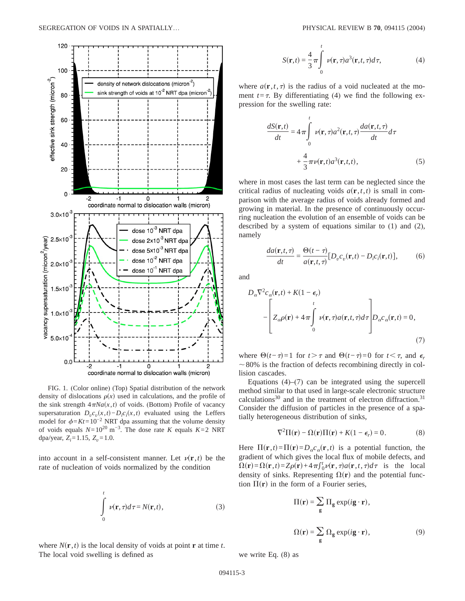

FIG. 1. (Color online) (Top) Spatial distribution of the network density of dislocations  $\rho(x)$  used in calculations, and the profile of the sink strength  $4\pi Na(x, t)$  of voids. (Bottom) Profile of vacancy supersaturation  $D_v c_v(x,t) - D_i c_i(x,t)$  evaluated using the Leffers model for  $\phi=Kt=10^{-2}$  NRT dpa assuming that the volume density of voids equals  $N=10^{20}$  m<sup>-3</sup>. The dose rate *K* equals  $K=2$  NRT dpa/year,  $Z_i = 1.15$ ,  $Z_v = 1.0$ .

into account in a self-consistent manner. Let  $\nu(\mathbf{r},t)$  be the rate of nucleation of voids normalized by the condition

$$
\int_{0}^{t} \nu(\mathbf{r}, \tau) d\tau = N(\mathbf{r}, t),
$$
\n(3)

where  $N(\mathbf{r}, t)$  is the local density of voids at point **r** at time *t*. The local void swelling is defined as

$$
S(\mathbf{r},t) = \frac{4}{3}\pi \int_{0}^{t} \nu(\mathbf{r},\tau) a^{3}(\mathbf{r},t,\tau) d\tau,
$$
 (4)

where  $a(\mathbf{r},t,\tau)$  is the radius of a void nucleated at the moment  $t = \tau$ . By differentiating (4) we find the following expression for the swelling rate:

$$
\frac{dS(\mathbf{r},t)}{dt} = 4\pi \int_{0}^{t} \nu(\mathbf{r},\tau)a^{2}(\mathbf{r},t,\tau) \frac{da(\mathbf{r},t,\tau)}{dt}d\tau
$$

$$
+\frac{4}{3}\pi \nu(\mathbf{r},t)a^{3}(\mathbf{r},t,t), \qquad (5)
$$

where in most cases the last term can be neglected since the critical radius of nucleating voids  $a(\mathbf{r},t,t)$  is small in comparison with the average radius of voids already formed and growing in material. In the presence of continuously occurring nucleation the evolution of an ensemble of voids can be described by a system of equations similar to (1) and (2), namely

$$
\frac{da(\mathbf{r},t,\tau)}{dt} = \frac{\Theta(t-\tau)}{a(\mathbf{r},t,\tau)}[D_v c_v(\mathbf{r},t) - D_i c_i(\mathbf{r},t)],\tag{6}
$$

and

*D* 

$$
\begin{aligned} \n\sigma \nabla^2 c_\alpha(\mathbf{r},t) + K(1 - \epsilon_r) \\
-\left[ Z_\alpha \rho(\mathbf{r}) + 4\pi \int_0^t \nu(\mathbf{r},\tau) a(\mathbf{r},t,\tau) d\tau \right] D_\alpha c_\alpha(\mathbf{r},t) = 0, \\
(7) \n\end{aligned}
$$

where  $\Theta(t-\tau)=1$  for  $t>\tau$  and  $\Theta(t-\tau)=0$  for  $t<\tau$ , and  $\epsilon_r$  $\sim80\%$  is the fraction of defects recombining directly in collision cascades.

Equations  $(4)$ – $(7)$  can be integrated using the supercell method similar to that used in large-scale electronic structure calculations<sup>30</sup> and in the treatment of electron diffraction.<sup>31</sup> Consider the diffusion of particles in the presence of a spatially heterogeneous distribution of sinks,

$$
\nabla^2 \Pi(\mathbf{r}) - \Omega(\mathbf{r}) \Pi(\mathbf{r}) + K(1 - \epsilon_r) = 0.
$$
 (8)

Here  $\Pi(\mathbf{r},t) = \Pi(\mathbf{r}) = D_{\alpha}c_{\alpha}(\mathbf{r},t)$  is a potential function, the gradient of which gives the local flux of mobile defects, and  $\Omega(\mathbf{r}) = \Omega(\mathbf{r}, t) = Z\rho(\mathbf{r}) + 4\pi \int_0^t v(\mathbf{r}, \tau) a(\mathbf{r}, t, \tau) d\tau$  is the local density of sinks. Representing  $\Omega(\mathbf{r})$  and the potential function  $\Pi(\mathbf{r})$  in the form of a Fourier series,

$$
\Pi(\mathbf{r}) = \sum_{\mathbf{g}} \Pi_{\mathbf{g}} \exp(i\mathbf{g} \cdot \mathbf{r}),
$$
  

$$
\Omega(\mathbf{r}) = \sum_{\mathbf{g}} \Omega_{\mathbf{g}} \exp(i\mathbf{g} \cdot \mathbf{r}),
$$
 (9)

we write Eq. (8) as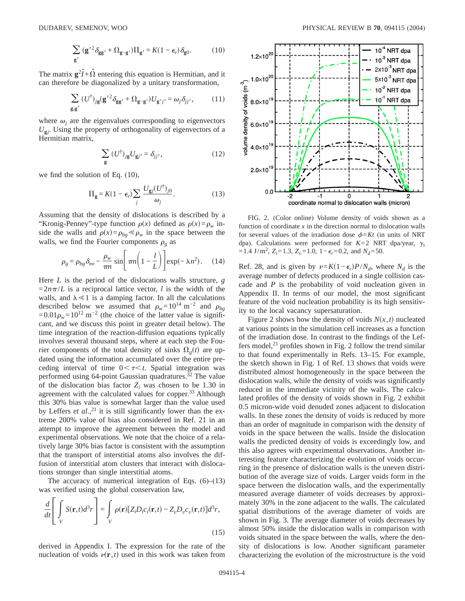$$
\sum_{\mathbf{g}'} (\mathbf{g'}^2 \delta_{\mathbf{g}\mathbf{g'}} + \Omega_{\mathbf{g} - \mathbf{g'}}) \Pi_{\mathbf{g'}} = K(1 - \epsilon_r) \delta_{\mathbf{g}0}.
$$
 (10)

The matrix  $g^2 \hat{I} + \hat{\Omega}$  entering this equation is Hermitian, and it can therefore be diagonalized by a unitary transformation,

$$
\sum_{\mathbf{g}, \mathbf{g}'} (U^{\dagger})_{j\mathbf{g}} (\mathbf{g'}^{2} \delta_{\mathbf{g}\mathbf{g'}} + \Omega_{\mathbf{g} - \mathbf{g'}}) U_{\mathbf{g'}j'} = \omega_{j} \delta_{jj'}, \qquad (11)
$$

where  $\omega_i$  are the eigenvalues corresponding to eigenvectors  $U_{gi}$ . Using the property of orthogonality of eigenvectors of a Hermitian matrix,

$$
\sum_{\mathbf{g}} \left( U^{\dagger} \right)_{j\mathbf{g}} U_{\mathbf{g}j'} = \delta_{jj'}, \tag{12}
$$

we find the solution of Eq. (10),

$$
\Pi_{\mathbf{g}} = K(1 - \epsilon_r) \sum_j \frac{U_{\mathbf{g}j}(U^{\dagger})_{j0}}{\omega_j}.
$$
 (13)

Assuming that the density of dislocations is described by a "Kronig-Penney"-type function  $\rho(x)$  defined as  $\rho(x) = \rho_w$  inside the walls and  $\rho(x)=\rho_{bg} \ll \rho_w$  in the space between the walls, we find the Fourier components  $\rho_g$  as

$$
\rho_g = \rho_{bg} \delta_{no} - \frac{\rho_w}{\pi n} \sin \left[ \pi n \left( 1 - \frac{l}{L} \right) \right] \exp(-\lambda n^2). \quad (14)
$$

Here *L* is the period of the dislocations walls structure, *g*  $=2n\pi/L$  is a reciprocal lattice vector, *l* is the width of the walls, and  $\lambda \ll 1$  is a damping factor. In all the calculations described below we assumed that  $\rho_w=10^{14} \text{ m}^{-2}$  and  $\rho_{bo}$  $=0.01\rho_w=10^{12}$  m<sup>-2</sup> (the choice of the latter value is significant, and we discuss this point in greater detail below). The time integration of the reaction-diffusion equations typically involves several thousand steps, where at each step the Fourier components of the total density of sinks  $\Omega_{\varphi}(t)$  are updated using the information accumulated over the entire preceding interval of time  $0 < \tau < t$ . Spatial integration was performed using 64-point Gaussian quadratures.<sup>32</sup> The value of the dislocation bias factor  $Z_i$  was chosen to be 1.30 in agreement with the calculated values for copper.<sup>33</sup> Although this 30% bias value is somewhat larger than the value used by Leffers *et al.*<sup>21</sup> it is still significantly lower than the extreme 200% value of bias also considered in Ref. 21 in an attempt to improve the agreement between the model and experimental observations. We note that the choice of a relatively large 30% bias factor is consistent with the assumption that the transport of interstitial atoms also involves the diffusion of interstitial atom clusters that interact with dislocations stronger than single interstitial atoms.

The accuracy of numerical integration of Eqs.  $(6)$ – $(13)$ was verified using the global conservation law,

$$
\frac{d}{dt} \left[ \int\limits_V S(\mathbf{r}, t) d^3r \right] = \int\limits_V \rho(\mathbf{r}) \left[ Z_i D_i c_i(\mathbf{r}, t) - Z_v D_v c_v(\mathbf{r}, t) \right] d^3r,
$$
\n(15)

derived in Appendix I. The expression for the rate of the nucleation of voids  $v(\mathbf{r},t)$  used in this work was taken from



FIG. 2. (Color online) Volume density of voids shown as a function of coordinate  $x$  in the direction normal to dislocation walls for several values of the irradiation dose  $\phi = Kt$  (in units of NRT dpa). Calculations were performed for  $K=2$  NRT dpa/year,  $\gamma_s$  $=1.4$  J/m<sup>2</sup>,  $Z_i = 1.3$ ,  $Z_v = 1.0$ ,  $1 - \epsilon_r = 0.2$ , and  $N_d = 50$ .

Ref. 28, and is given by  $v=K(1-\epsilon_r)P/N_d$ , where  $N_d$  is the average number of defects produced in a single collision cascade and *P* is the probability of void nucleation given in Appendix II. In terms of our model, the most significant feature of the void nucleation probability is its high sensitivity to the local vacancy supersaturation.

Figure 2 shows how the density of voids  $N(x, t)$  nucleated at various points in the simulation cell increases as a function of the irradiation dose. In contrast to the findings of the Leffers model, $21$  profiles shown in Fig. 2 follow the trend similar to that found experimentally in Refs. 13–15. For example, the sketch shown in Fig. 1 of Ref. 13 shows that voids were distributed almost homogeneously in the space between the dislocation walls, while the density of voids was significantly reduced in the immediate vicinity of the walls. The calculated profiles of the density of voids shown in Fig. 2 exhibit 0.5 micron-wide void denuded zones adjacent to dislocation walls. In these zones the density of voids is reduced by more than an order of magnitude in comparison with the density of voids in the space between the walls. Inside the dislocation walls the predicted density of voids is exceedingly low, and this also agrees with experimental observations. Another interesting feature characterizing the evolution of voids occurring in the presence of dislocation walls is the uneven distribution of the average size of voids. Larger voids form in the space between the dislocation walls, and the experimentally measured average diameter of voids decreases by approximately 30% in the zone adjacent to the walls. The calculated spatial distributions of the average diameter of voids are shown in Fig. 3. The average diameter of voids decreases by almost 50% inside the dislocation walls in comparison with voids situated in the space between the walls, where the density of dislocations is low. Another significant parameter characterizing the evolution of the microstructure is the void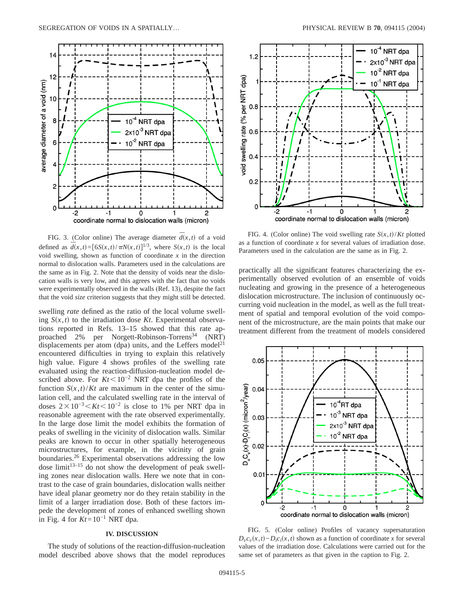

FIG. 3. (Color online) The average diameter  $\overline{d}(x,t)$  of a void defined as  $\overline{d}(x,t) = [6S(x,t)/\pi N(x,t)]^{1/3}$ , where  $S(x,t)$  is the local void swelling, shown as function of coordinate  $x$  in the direction normal to dislocation walls. Parameters used in the calculations are the same as in Fig. 2. Note that the density of voids near the dislocation walls is very low, and this agrees with the fact that no voids were experimentally observed in the walls (Ref. 13), despite the fact that the void *size* criterion suggests that they might still be detected.

swelling *rate* defined as the ratio of the local volume swelling  $S(x,t)$  to the irradiation dose *Kt*. Experimental observations reported in Refs. 13–15 showed that this rate approached 2% per Norgett-Robinson-Torrens<sup>34</sup> (NRT) displacements per atom (dpa) units, and the Leffers model<sup>21</sup> encountered difficulties in trying to explain this relatively high value. Figure 4 shows profiles of the swelling rate evaluated using the reaction-diffusion-nucleation model described above. For  $Kt$ <10<sup>-2</sup> NRT dpa the profiles of the function  $S(x,t)/Kt$  are maximum in the center of the simulation cell, and the calculated swelling rate in the interval of doses  $2 \times 10^{-3}$  Kt $\lt 10^{-2}$  is close to 1% per NRT dpa in reasonable agreement with the rate observed experimentally. In the large dose limit the model exhibits the formation of peaks of swelling in the vicinity of dislocation walls. Similar peaks are known to occur in other spatially heterogeneous microstructures, for example, in the vicinity of grain boundaries.26 Experimental observations addressing the low  $\frac{d}{dx}$  do not show the development of peak swelling zones near dislocation walls. Here we note that in contrast to the case of grain boundaries, dislocation walls neither have ideal planar geometry nor do they retain stability in the limit of a larger irradiation dose. Both of these factors impede the development of zones of enhanced swelling shown in Fig. 4 for  $Kt=10^{-1}$  NRT dpa.

## **IV. DISCUSSION**

The study of solutions of the reaction-diffusion-nucleation model described above shows that the model reproduces



FIG. 4. (Color online) The void swelling rate  $S(x,t)/Kt$  plotted as a function of coordinate *x* for several values of irradiation dose. Parameters used in the calculation are the same as in Fig. 2.

practically all the significant features characterizing the experimentally observed evolution of an ensemble of voids nucleating and growing in the presence of a heterogeneous dislocation microstructure. The inclusion of continuously occurring void nucleation in the model, as well as the full treatment of spatial and temporal evolution of the void component of the microstructure, are the main points that make our treatment different from the treatment of models considered



FIG. 5. (Color online) Profiles of vacancy supersaturation  $D_v c_v(x,t) - D_i c_i(x,t)$  shown as a function of coordinate *x* for several values of the irradiation dose. Calculations were carried out for the same set of parameters as that given in the caption to Fig. 2.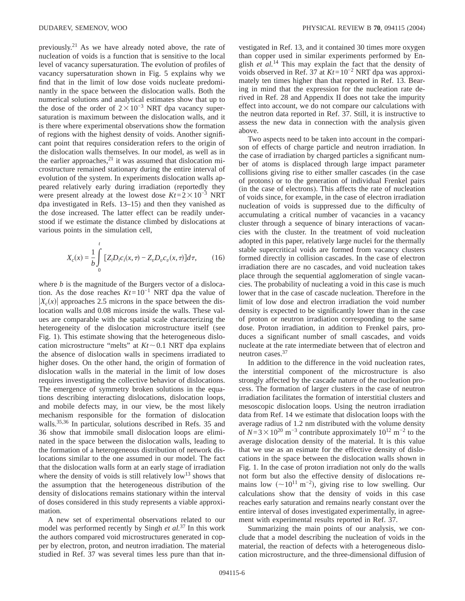previously.21 As we have already noted above, the rate of nucleation of voids is a function that is sensitive to the local level of vacancy supersaturation. The evolution of profiles of vacancy supersaturation shown in Fig. 5 explains why we find that in the limit of low dose voids nucleate predominantly in the space between the dislocation walls. Both the numerical solutions and analytical estimates show that up to the dose of the order of  $2 \times 10^{-3}$  NRT dpa vacancy supersaturation is maximum between the dislocation walls, and it is there where experimental observations show the formation of regions with the highest density of voids. Another significant point that requires consideration refers to the origin of the dislocation walls themselves. In our model, as well as in the earlier approaches, $^{21}$  it was assumed that dislocation microstructure remained stationary during the entire interval of evolution of the system. In experiments dislocation walls appeared relatively early during irradiation (reportedly they were present already at the lowest dose  $Kt=2\times10^{-3}$  NRT dpa investigated in Refs. 13–15) and then they vanished as the dose increased. The latter effect can be readily understood if we estimate the distance climbed by dislocations at various points in the simulation cell,

$$
X_c(x) = \frac{1}{b} \int_{0}^{t} \left[ Z_i D_i c_i(x, \tau) - Z_v D_v c_v(x, \tau) \right] d\tau, \qquad (16)
$$

where *b* is the magnitude of the Burgers vector of a dislocation. As the dose reaches *Kt*=10−1 NRT dpa the value of  $|X_c(x)|$  approaches 2.5 microns in the space between the dislocation walls and 0.08 microns inside the walls. These values are comparable with the spatial scale characterizing the heterogeneity of the dislocation microstructure itself (see Fig. 1). This estimate showing that the heterogeneous dislocation microstructure "melts" at  $Kt \sim 0.1$  NRT dpa explains the absence of dislocation walls in specimens irradiated to higher doses. On the other hand, the origin of formation of dislocation walls in the material in the limit of low doses requires investigating the collective behavior of dislocations. The emergence of symmetry broken solutions in the equations describing interacting dislocations, dislocation loops, and mobile defects may, in our view, be the most likely mechanism responsible for the formation of dislocation walls.35,36 In particular, solutions described in Refs. 35 and 36 show that immobile small dislocation loops are eliminated in the space between the dislocation walls, leading to the formation of a heterogeneous distribution of network dislocations similar to the one assumed in our model. The fact that the dislocation walls form at an early stage of irradiation where the density of voids is still relatively  $low^{13}$  shows that the assumption that the heterogeneous distribution of the density of dislocations remains stationary within the interval of doses considered in this study represents a viable approximation.

A new set of experimental observations related to our model was performed recently by Singh *et al.*<sup>37</sup> In this work the authors compared void microstructures generated in copper by electron, proton, and neutron irradiation. The material studied in Ref. 37 was several times less pure than that investigated in Ref. 13, and it contained 30 times more oxygen than copper used in similar experiments performed by English *et al.*<sup>14</sup> This may explain the fact that the density of voids observed in Ref. 37 at *Kt*=10−2 NRT dpa was approximately ten times higher than that reported in Ref. 13. Bearing in mind that the expression for the nucleation rate derived in Ref. 28 and Appendix II does not take the impurity effect into account, we do not compare our calculations with the neutron data reported in Ref. 37. Still, it is instructive to assess the new data in connection with the analysis given above.

Two aspects need to be taken into account in the comparison of effects of charge particle and neutron irradiation. In the case of irradiation by charged particles a significant number of atoms is displaced through large impact parameter collisions giving rise to either smaller cascades (in the case of protons) or to the generation of individual Frenkel pairs (in the case of electrons). This affects the rate of nucleation of voids since, for example, in the case of electron irradiation nucleation of voids is suppressed due to the difficulty of accumulating a critical number of vacancies in a vacancy cluster through a sequence of binary interactions of vacancies with the cluster. In the treatment of void nucleation adopted in this paper, relatively large nuclei for the thermally stable supercritical voids are formed from vacancy clusters formed directly in collision cascades. In the case of electron irradiation there are no cascades, and void nucleation takes place through the sequential agglomeration of single vacancies. The probability of nucleating a void in this case is much lower that in the case of cascade nucleation. Therefore in the limit of low dose and electron irradiation the void number density is expected to be significantly lower than in the case of proton or neutron irradiation corresponding to the same dose. Proton irradiation, in addition to Frenkel pairs, produces a significant number of small cascades, and voids nucleate at the rate intermediate between that of electron and neutron cases.37

In addition to the difference in the void nucleation rates, the interstitial component of the microstructure is also strongly affected by the cascade nature of the nucleation process. The formation of larger clusters in the case of neutron irradiation facilitates the formation of interstitial clusters and mesoscopic dislocation loops. Using the neutron irradiation data from Ref. 14 we estimate that dislocation loops with the average radius of 1.2 nm distributed with the volume density of  $N=3\times10^{20}$  m<sup>-3</sup> contribute approximately  $10^{12}$  m<sup>-2</sup> to the average dislocation density of the material. It is this value that we use as an esimate for the effective density of dislocations in the space between the dislocation walls shown in Fig. 1. In the case of proton irradiation not only do the walls not form but also the effective density of dislocations remains low  $({\sim}10^{11} \text{ m}^{-2})$ , giving rise to low swelling. Our calculations show that the density of voids in this case reaches early saturation and remains nearly constant over the entire interval of doses investigated experimentally, in agreement with experimental results reported in Ref. 37.

Summarizing the main points of our analysis, we conclude that a model describing the nucleation of voids in the material, the reaction of defects with a heterogeneous dislocation microstructure, and the three-dimensional diffusion of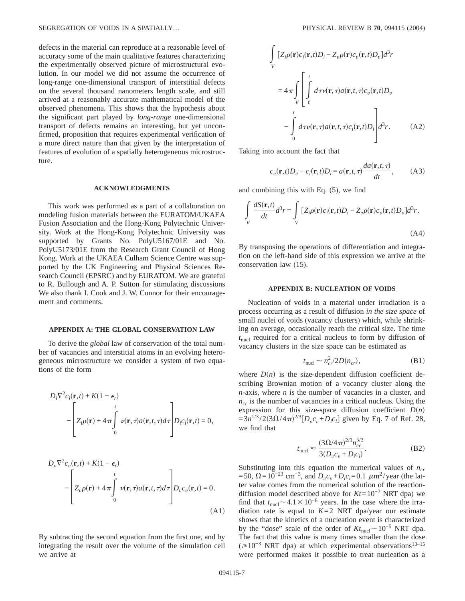defects in the material can reproduce at a reasonable level of accuracy some of the main qualitative features characterizing the experimentally observed picture of microstructural evolution. In our model we did not assume the occurrence of long-range one-dimensional transport of interstitial defects on the several thousand nanometers length scale, and still arrived at a reasonably accurate mathematical model of the observed phenomena. This shows that the hypothesis about the significant part played by *long-range* one-dimensional transport of defects remains an interesting, but yet unconfirmed, proposition that requires experimental verification of a more direct nature than that given by the interpretation of features of evolution of a spatially heterogeneous microstructure.

#### **ACKNOWLEDGMENTS**

This work was performed as a part of a collaboration on modeling fusion materials between the EURATOM/UKAEA Fusion Association and the Hong-Kong Polytechnic University. Work at the Hong-Kong Polytechnic University was supported by Grants No. PolyU5167/01E and No. PolyU5173/01E from the Research Grant Council of Hong Kong. Work at the UKAEA Culham Science Centre was supported by the UK Engineering and Physical Sciences Research Council (EPSRC) and by EURATOM. We are grateful to R. Bullough and A. P. Sutton for stimulating discussions We also thank I. Cook and J. W. Connor for their encouragement and comments.

## **APPENDIX A: THE GLOBAL CONSERVATION LAW**

To derive the *global* law of conservation of the total number of vacancies and interstitial atoms in an evolving heterogeneous microstructure we consider a system of two equations of the form

$$
D_i \nabla^2 c_i(\mathbf{r},t) + K(1 - \epsilon_r)
$$
  
- 
$$
\left[ Z_i \rho(\mathbf{r}) + 4\pi \int_0^t \nu(\mathbf{r}, \tau) a(\mathbf{r}, t, \tau) d\tau \right] D_i c_i(\mathbf{r}, t) = 0,
$$

$$
D_v \nabla^2 c_v(\mathbf{r},t) + K(1 - \epsilon_r)
$$
  
- 
$$
\left[ Z_v \rho(\mathbf{r}) + 4\pi \int_0^t \nu(\mathbf{r},\tau) a(\mathbf{r},t,\tau) d\tau \right] D_v c_v(\mathbf{r},t) = 0.
$$
  
(A1)

By subtracting the second equation from the first one, and by integrating the result over the volume of the simulation cell we arrive at

$$
\int_{V} [Z_{i}\rho(\mathbf{r})c_{i}(\mathbf{r},t)D_{i} - Z_{v}\rho(\mathbf{r})c_{v}(\mathbf{r},t)D_{v}]d^{3}r
$$
\n
$$
= 4\pi \int_{V} \left[ \int_{0}^{t} d\tau \nu(\mathbf{r},\tau) a(\mathbf{r},t,\tau) c_{v}(\mathbf{r},t)D_{v} - \int_{0}^{t} d\tau \nu(\mathbf{r},\tau) a(\mathbf{r},t,\tau) c_{i}(\mathbf{r},t)D_{i} \right] d^{3}r.
$$
\n(A2)

Taking into account the fact that

$$
c_v(\mathbf{r},t)D_v - c_i(\mathbf{r},t)D_i = a(\mathbf{r},t,\tau)\frac{da(\mathbf{r},t,\tau)}{dt},\qquad(A3)
$$

and combining this with Eq. (5), we find

$$
\int_{V} \frac{dS(\mathbf{r},t)}{dt} d^{3}r = \int_{V} [Z_{i}\rho(\mathbf{r})c_{i}(\mathbf{r},t)D_{i} - Z_{v}\rho(\mathbf{r})c_{v}(\mathbf{r},t)D_{v}]d^{3}r.
$$
\n(A4)

By transposing the operations of differentiation and integration on the left-hand side of this expression we arrive at the conservation law (15).

#### **APPENDIX B: NUCLEATION OF VOIDS**

Nucleation of voids in a material under irradiation is a process occurring as a result of diffusion *in the size space* of small nuclei of voids (vacancy clusters) which, while shrinking on average, occasionally reach the critical size. The time *t*nucl required for a critical nucleus to form by diffusion of vacancy clusters in the size space can be estimated as

$$
t_{\text{nucl}} \sim n_{cr}^2/2D(n_{cr}),\tag{B1}
$$

where  $D(n)$  is the size-dependent diffusion coefficient describing Brownian motion of a vacancy cluster along the *n*-axis, where *n* is the number of vacancies in a cluster, and  $n_{cr}$  is the number of vacancies in a critical nucleus. Using the expression for this size-space diffusion coefficient  $D(n)$  $=3n^{1/3}/2(3\Omega/4\pi)^{2/3}[D_v c_v + D_i c_i]$  given by Eq. 7 of Ref. 28, we find that

$$
t_{\text{nucl}} \approx \frac{(3\Omega/4\pi)^{2/3} n_{cr}^{5/3}}{3(D_v c_v + D_i c_i)}.
$$
 (B2)

Substituting into this equation the numerical values of  $n_{cr}$  $=$  50, Ω = 10<sup>-23</sup> cm<sup>-3</sup>, and *D<sub>v</sub>c<sub>v</sub>*+*D<sub>i</sub>c<sub>i</sub>*=0.1  $μ$ m<sup>2</sup>/year (the latter value comes from the numerical solution of the reactiondiffusion model described above for *Kt*=10−2 NRT dpa) we find that  $t_{\text{nucl}}$  ~ 4.1 × 10<sup>-6</sup> years. In the case where the irradiation rate is equal to  $K=2$  NRT dpa/year our estimate shows that the kinetics of a nucleation event is characterized by the "dose" scale of the order of  $Kt_{\text{nucl}}$  ~ 10<sup>-5</sup> NRT dpa. The fact that this value is many times smaller than the dose ( $\geq 10^{-3}$  NRT dpa) at which experimental observations<sup>13–15</sup> were performed makes it possible to treat nucleation as a